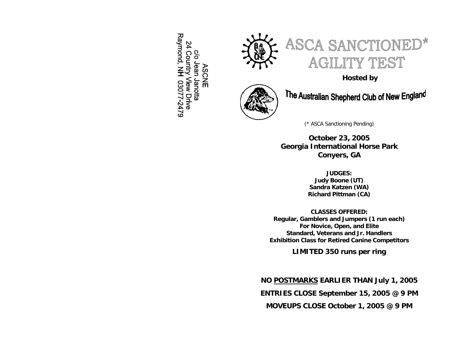Raymond, NH 03077-2479 24 Country View Drive So Jean Janotta **ASCNE** 





**Hosted by**



The Australian Shepherd Club of New England

(\* ASCA Sanctioning Pending)

**October 23, 2005 Georgia International Horse Park Conyers, GA** 

> **JUDGES: Judy Boone (UT) Sandra Katzen (WA) Richard Pittman (CA)**

**CLASSES OFFERED: Regular, Gamblers and Jumpers (1 run each) For Novice, Open, and Elite Standard, Veterans and Jr. Handlers Exhibition Class for Retired Canine Competitors** 

**LIMITED 350 runs per ring** 

# **NO POSTMARKS EARLIER THAN July 1, 2005**

**ENTRIES CLOSE September 15, 2005 @ 9 PM** 

**MOVEUPS CLOSE October 1, 2005 @ 9 PM**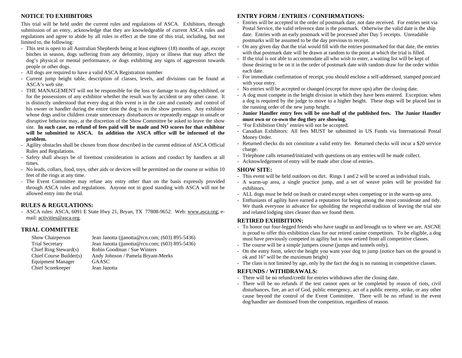# **NOTICE TO EXHIBITORS**

This trial will be held under the current rules and regulations of ASCA. Exhibitors, through submission of an entry, acknowledge that they are knowledgeable of current ASCA rules and regulations and agree to abide by all rules in effect at the time of this trial, including, but not limited to, the following:

- This test is open to all Australian Shepherds being at least eighteen (18) months of age, except bitches in season, dogs suffering from any deformity, injury or illness that may affect the dog's physical or mental perfor mance, or dogs exhibiting any signs of aggression towards people or other dogs.
- All dogs are required to have a valid ASCA Registration number
- Current jump height table, description of classes, levels, and divisions can be found at ASCA's web site.
- THE MANAGEMENT will not be responsible for the loss or damage to any dog exhibited, or for the possessions of any exhibitor whether the result was by accident or any other cause. It is distinctly understood that every dog at this event is in the care and custody and control of his owner or handler during the entire time the dog is on the show premises. Any exhibitor whose dogs and/or children create unnecessary disturbances or repeatedly engage in unsafe or disruptive behavior may, at the discretion of the Show Committee be asked to leave the show site. **In suc h case, no refund of fees paid will be made and NO scores for that exhibitor will be submitted to ASCA. In addition the ASCA office will be informed of the problem.**
- Agility obstacles shall be chosen from those described in the current edition of ASCA Official Rules and Regulations.
- Safety shall always be of foremost consideration in actions and conduct by handlers at all times.
- No leads, collars, food, toys, other aids or devices will be permitted on the course or within 10 feet of the rings at any time.
- The Event Co m mittee may refuse any entry other than on the basis expressly provided through ASCA rules and regulations. Anyone not in good standing with ASCA will not be allowed entry into the trial.

# **RULES & REGULATIONS:**

- ASCA rules: ASCA, 6091 E State Hwy 21, Bryan, TX 77808-9652. Web: [www.asca.org](http://www.asca.org/); e-mail: <u>activities[@asca.org](mailto:activities@asca.org)</u>.

# **TRIAL COMMITTEE**

| Show Chairperson         | Je: |
|--------------------------|-----|
| <b>Trial Secretary</b>   | Je: |
| Chief Ring Steward(s)    | Ro  |
| Chief Course Builder(s)  | Aı  |
| <b>Equipment Manager</b> | G,  |
| Chief Scorekeeper        | Je: |

an Janotta (jjanotta@rcn.com; (603) 895-5436) an Janotta (jjanotta@rcn.com; (603) 895-5436) obin Goodman / Sue Winters ndy Johnson / Pamela Bryant-Meeks AASC an Janotta

# **ENTRY FORM / ENTRIES / CONFI RMATIONS:**

- Entries will be accepted in the order of postmark date, not date received. For entries sent via Postal Service, the valid reference date is the post mark. Otherwise the valid date is the ship date. Entries with an early postmark will be processed after Day 5 receipts. Unreadable postmarks will be assumed to be the day previous to receipt.
- On any given day that the trial would fill with the entries postmarked for that date, the entries with that postmark date will be drawn at random to the point at which the trial is filled.
- If the trial is not able to accommodate all who wish to enter, a waiting list will be kept of those desiring to be on it in the order of postmark date with random draw for the order within each date.
- For immediate confirmation of receipt, you should enclose a self-addressed, stamped postcard with your entry.
- No entries will be accepted or changed (except for move ups) after the closing date.
- A dog must compete in the height division in which they have been entered. Exception: when a dog is required by the judge to move to a higher height. These dogs will be placed last in the running order of the new jump height.
- **Junior Handler e ntry fees will be one-half of the published fees. The Junior Handler must own or co-o wn the dog they are sho wing.**
- 'For Exhibition Only' entries will not be accepted.
- Canadian Exhibitors: All fees MUST be submitted in US Funds via International Postal Money Order.
- Returned checks do not constitute a valid entry fee. Returned checks will incur a \$20 service charge.
- Telephone calls returned/initiated with questions on any entries will be made collect.
- Acknowledgement of entry will be made after close of entries.

### **SHOW SITE:**

- This event will be held outdoors on dirt. Rings 1 and 2 will be scored as individual trials.
- A warm-up area, a single practice jump, and a set of weave poles will be provided for exhibitors.
- ALL dogs must be held on leash or crated except when competing or in the warm-up area.
- Enthusiasts of agility have earned a reputation for being among the most considerate and tidy. We thank everyone in advance for upholding the respectful tradition of leaving the trial site and related lodging sites cleaner than we found them.

# **RETIRED EXHIBITION:**

- To honor our four-legged friends who have taught us and brought us to where we are, ASCNE is proud to offer this exhibition class for our retired canine competitors. To be eligible, a dog must have previously competed in agility but is now retired from all competitive classes.
- The course will be a simple jumpers course (jumps and tunnels only).
- On the entry for m, select the height you want your dog to jump (notice bars on the ground is ok and 16" will be the maximum height)
- The class is not limited by age, only by the fact the dog is no running in competitive classes.

# **REFUNDS / WITHDRAWALS:**

- There will be no refund/credit for entries withdrawn after the closing date.
- There will be no refunds if the test cannot open or be completed by reason of riots, civil disturbances, fire, an act of God, public emergency, act of a public enemy, strike, or any other cause beyond the control of the Event Com mittee. There will be no refund in the event dog/handler are dismissed from the competition, regardless of reason.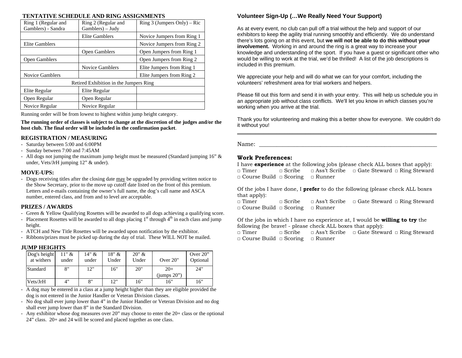### **TENTATIVE SCHEDULE AND RING ASSIGNMENTS**

| Ring 1 (Regular and<br>Gamblers) - Sandra | Ring 2 (Regular and<br>Gamblers) – Judy | Ring 3 (Jumpers Only) – Ric |
|-------------------------------------------|-----------------------------------------|-----------------------------|
|                                           | Elite Gamblers                          | Novice Jumpers from Ring 1  |
| Elite Gamblers                            |                                         | Novice Jumpers from Ring 2  |
|                                           | Open Gamblers                           | Open Jumpers from Ring 1    |
| Open Gamblers                             |                                         | Open Jumpers from Ring 2    |
|                                           | <b>Novice Gamblers</b>                  | Elite Jumpers from Ring 1   |
| <b>Novice Gamblers</b>                    |                                         | Elite Jumpers from Ring 2   |
|                                           | Retired Exhibition in the Jumpers Ring  |                             |
| Elite Regular                             | Elite Regular                           |                             |
| Open Regular                              | Open Regular                            |                             |
| Novice Regular                            | Novice Regular                          |                             |

Running order will be from lowest to highest within jump height category.

**The running order of classes is subject to change at the discretion of the judges and/or the host club. The final order will be included in the confirmation packet**.

# **REGISTRATION / MEASURING**

- Saturday between 5:00 and 6:00PM
- Sunday between 7:00 and 7:45AM
- All dogs not jumping the maximum jump height must be measured (Standard jumping 16" & under, Vets/JrH jumping 12" & under).

## **MOVE-UPS:**

- Dogs receiving titles after the closing date may be upgraded by providing written notice to the Show Secretary, prior to the move up cutoff date listed on the front of this premium. Letters and e-mails containing the owner's full name, the dog's call name and ASCA number, entered class, and from and to level are acceptable.

# **PRIZES / AWARDS**

- Green & Yellow Qualifying Rosettes will be awarded to all dogs achieving a qualifying score.
- Placement Rosettes will be awarded to all dogs placing  $1<sup>st</sup>$  through  $4<sup>th</sup>$  in each class and jump height.
- ATCH and New Title Rosettes will be awarded upon notification by the exhibitor.
- Ribbons/prizes must be picked up during the day of trial. These WILL NOT be mailed.

### **JUMP HEIGHTS**

| Dog's height<br>at withers | $11"$ &<br>under | $14" \&$<br>under | 18" &<br>Under | 20" &<br>Under | Over 20"       | Over $20$ "<br>Optional |
|----------------------------|------------------|-------------------|----------------|----------------|----------------|-------------------------|
| Standard                   | 8"               | 12"               | 16"            | 20"            | $20+$          | 24"                     |
|                            |                  |                   |                |                | (jumps $20$ ") |                         |
| Vets/JrH                   | 4"               | 8"                | 12"            | 16"            | 16"            | 16"                     |

- A dog may be entered in a class at a jump height higher than they are eligible provided the dog is not entered in the Junior Handler or Veteran Division classes.
- No dog shall ever jump lower than 4" in the Junior Handler or Veteran Division and no dog shall ever jump lower than 8" in the Standard Division.
- Any exhibitor whose dog measures over 20" may choose to enter the 20+ class or the optional 24" class. 20+ and 24 will be scored and placed together as one class.

# **Volunteer Sign-Up (…We Really Need Your Support)**

As at every event, no club can pull off a trial without the help and support of our exhibitors to keep the agility trial running smoothly and efficiently. We do understand there's lots going on at this event, but **we will not be able to do this without your involvement.** Working in and around the ring is a great way to increase your knowledge and understanding of the sport. If you have a guest or significant other who would be willing to work at the trial, we'd be thrilled! A list of the job descriptions is included in this premium.

We appreciate your help and will do what we can for your comfort, including the volunteers' refreshment area for trial workers and helpers.

Please fill out this form and send it in with your entry. This will help us schedule you in an appropriate job without class conflicts. We'll let you know in which classes you're working when you arrive at the trial.

Thank you for volunteering and making this a better show for everyone. We couldn't do it without you!

Name: \_\_\_\_\_\_\_\_\_\_\_\_\_\_\_\_\_\_\_\_\_\_\_\_\_\_\_\_\_\_\_\_\_\_\_\_\_\_\_\_\_\_\_\_\_\_\_\_\_\_\_\_\_\_\_\_\_\_\_\_\_

# **Work Preferences:**

I have **experience** at the following jobs (please check ALL boxes that apply): □ Timer □ Scribe □ Ass't Scribe □ Gate Steward □ Ring Steward □ Course Build □ Scoring □ Runner

Of the jobs I have done, I **prefer** to do the following (please check ALL boxes that apply):<br> $\Box$  Timer

□ Scribe □ Ass't Scribe □ Gate Steward □ Ring Steward □ Course Build □ Scoring □ Runner

Of the jobs in which I have no experience at, I would be **willing to try** the following (be brave! - please check ALL boxes that apply):

□ Timer □ Scribe □ Ass't Scribe □ Gate Steward □ Ring Steward □ Course Build □ Scoring □ Runner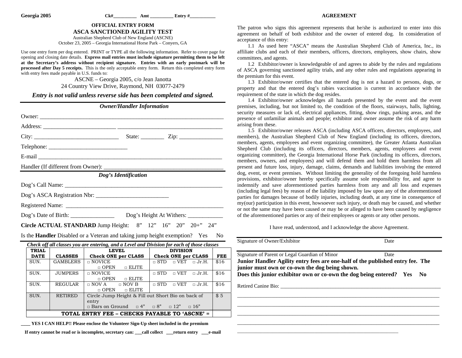#### **AGREEMENT**

## **OFFICIAL ENTRY FORM**

**ASCA SANCTIONED AGILITY TEST** 

Australian Shepherd Club of New England (ASCNE) October 23, 2005 – Georgia International Horse Park – Conyers, GA

Use one entry form per dog entered. PRINT or TYPE all the following information. Refer to cover page for opening and closing date details. **Express mail entries must include signature permitting them to be left at the Secretary's address without recipient signature. Entries with an early postmark will be processed after Day 5 receipts.** This is the only acceptable entry form. Return this completed entry form with entry fees made payable in U.S. funds to:

> ASCNE – Georgia 2005, c/o Jean Janotta 24 Country View Drive, Raymond, NH 03077-2479

*Entry is not valid unless reverse side has been completed and signed.* 

|              |                 | <b>Owner/Handler Information</b>                                                           |                                         |                |
|--------------|-----------------|--------------------------------------------------------------------------------------------|-----------------------------------------|----------------|
|              |                 |                                                                                            |                                         |                |
|              |                 |                                                                                            |                                         |                |
|              |                 |                                                                                            |                                         |                |
|              |                 |                                                                                            |                                         |                |
|              |                 |                                                                                            |                                         |                |
|              |                 |                                                                                            |                                         |                |
|              |                 | Dog's Identification                                                                       |                                         |                |
|              |                 |                                                                                            |                                         |                |
|              |                 |                                                                                            |                                         |                |
|              |                 |                                                                                            |                                         |                |
|              |                 | Dog's Date of Birth: ___________________ Dog's Height At Withers: ______________           |                                         |                |
|              |                 | Circle ACTUAL STANDARD Jump Height: 8" 12" 16" 20" 20+" 24"                                |                                         |                |
|              |                 | Is the <b>Handler</b> Disabled or a Veteran and taking jump height exemption? Yes          |                                         | N <sub>0</sub> |
|              |                 | Check off all classes you are entering, and a Level and Division for each of those classes |                                         |                |
| <b>TRIAL</b> |                 | <b>LEVEL</b>                                                                               | <b>DIVISION</b>                         |                |
| <b>DATE</b>  | <b>CLASSES</b>  | <b>Check ONE per CLASS</b>                                                                 | <b>Check ONE per CLASS</b>              | <b>FEE</b>     |
| SUN.         | <b>GAMBLERS</b> | $\Box$ NOVICE                                                                              | $\Box$ STD $\Box$ VET<br>$\sqcap$ Jr.H. | \$16           |
|              |                 | $\Box$ OPEN $\Box$ ELITE                                                                   |                                         |                |
| SUN.         | <b>JUMPERS</b>  | $\Box$ NOVICE                                                                              | $\Box$ STD $\Box$ VET<br>$\Box$ Jr.H.   | \$16           |
| SUN.         | <b>REGULAR</b>  | OPEN OELITE<br>$\Box$ NOV A $\Box$ NOV B                                                   | $\Box$ STD $\Box$ VET $\Box$ Jr.H.      | \$16           |
|              |                 | $\Box$ OPEN<br>$\Box$ ELITE                                                                |                                         |                |
| SUN.         | <b>RETIRED</b>  | Circle Jump Height & Fill out Short Bio on back of                                         |                                         | \$5            |
|              |                 | entry                                                                                      |                                         |                |
|              |                 | $\Box$ Bars on Ground $\Box$ 4" $\Box$ 8" $\Box$ 12" $\Box$ 16"                            |                                         |                |
|              |                 | TOTAL ENTRY FEE - CHECKS PAYABLE TO 'ASCNE' =                                              |                                         |                |

**\_\_\_\_ YES I CAN HELP!! Please enclose the Volunteer Sign-Up sheet included in the premium** 

**If entry cannot be read or is incomplete, secretary can: \_\_\_call collect \_\_\_return entry \_\_\_e-mail**

The patron who signs this agreement represents that he/she is authorized to enter into this agreement on behalf of both exhibitor and the owner of entered dog. In consideration of acceptance of this entry:

1.1 As used here "ASCA" means the Australian Shepherd Club of America, Inc., its affiliate clubs and each of their members, officers, directors, employees, show chairs, show committees, and agents.

1.2 Exhibitor/owner is knowledgeable of and agrees to abide by the rules and regulations of ASCA governing sanctioned agility trials, and any other rules and regulations appearing in the premium for this event.

1.3 Exhibitor/owner certifies that the entered dog is not a hazard to persons, dogs, or property and that the entered dog's rabies vaccination is current in accordance with the requirement of the state in which the dog resides.

1.4 Exhibitor/owner acknowledges all hazards presented by the event and the event premises, including, but not limited to, the condition of the floors, stairways, halls, lighting, security measures or lack of, electrical appliances, fitting, show rings, parking areas, and the presence of unfamiliar animals and people; exhibitor and owner assume the risk of any harm arising from these.

1.5 Exhibitor/owner releases ASCA (including ASCA officers, directors, employees, and members), the Australian Shepherd Club of New England (including its officers, directors, members, agents, employees and event organizing committee), the Greater Atlanta Australian Shepherd Club (including its officers, directors, members, agents, employees and event organizing committee), the Georgia International Horse Park (including its officers, directors, members, owners, and employees) and will defend them and hold them harmless from all present and future loss, injury, damage, claims, demands and liabilities involving the entered dog, event, or event premises. Without limiting the generality of the foregoing hold harmless provisions, exhibitor/owner hereby specifically assume sole responsibility for, and agree to indemnify and save aforementioned parties harmless from any and all loss and expenses (including legal fees) by reason of the liability imposed by law upon any of the aforementioned parties for damages because of bodily injuries, including death, at any time in consequence of my(our) participation in this event, howsoever such injury, or death may be caused, and whether or not the same may have been caused or may be or alleged to have been caused by negligence of the aforementioned parties or any of their employees or agents or any other persons.

I have read, understood, and I acknowledge the above Agreement.

| Signature of Owner/Exhibitor                                                                                                                                                                                                                              | Date        |
|-----------------------------------------------------------------------------------------------------------------------------------------------------------------------------------------------------------------------------------------------------------|-------------|
| Signature of Parent or Legal Guardian of Minor<br>Junior Handler Agility entry fees are one-half of the published entry fee. The<br>junior must own or co-own the dog being shown.<br>Does this junior exhibitor own or co-own the dog being entered? Yes | Date<br>No. |
| Retired Canine Bio:                                                                                                                                                                                                                                       |             |
|                                                                                                                                                                                                                                                           |             |
|                                                                                                                                                                                                                                                           |             |

\_\_\_\_\_\_\_\_\_\_\_\_\_\_\_\_\_\_\_\_\_\_\_\_\_\_\_\_\_\_\_\_\_\_\_\_\_\_\_\_\_\_\_\_\_\_\_\_\_\_\_\_\_\_\_\_\_\_\_\_\_\_\_\_\_\_\_\_\_\_\_\_\_\_\_\_\_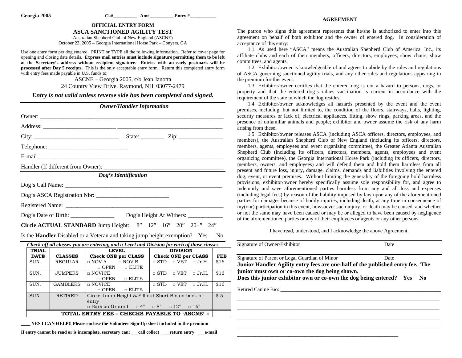#### **AGREEMENT**

# **OFFICIAL ENTRY FORM**

**ASCA SANCTIONED AGILITY TEST** 

Australian Shepherd Club of New England (ASCNE) October 23, 2005 – Georgia International Horse Park – Conyers, GA

Use one entry form per dog entered. PRINT or TYPE all the following information. Refer to cover page for opening and closing date details. **Express mail entries must include signature permitting them to be left at the Secretary's address without recipient signature. Entries with an early postmark will be processed after Day 5 receipts.** This is the only acceptable entry form. Return this completed entry form with entry fees made payable in U.S. funds to:

> ASCNE – Georgia 2005, c/o Jean Janotta 24 Country View Drive, Raymond, NH 03077-2479

*Entry is not valid unless reverse side has been completed and signed.* 

|                             |                                    | <b>Owner/Handler Information</b>                                                                                                                                                                                               |                                         |                |
|-----------------------------|------------------------------------|--------------------------------------------------------------------------------------------------------------------------------------------------------------------------------------------------------------------------------|-----------------------------------------|----------------|
|                             |                                    |                                                                                                                                                                                                                                |                                         |                |
|                             |                                    |                                                                                                                                                                                                                                |                                         |                |
|                             |                                    |                                                                                                                                                                                                                                | State: $\angle$ Zip: $\angle$           |                |
|                             |                                    |                                                                                                                                                                                                                                |                                         |                |
|                             |                                    | E-mail and the contract of the contract of the contract of the contract of the contract of the contract of the contract of the contract of the contract of the contract of the contract of the contract of the contract of the |                                         |                |
|                             | Handler (If different from Owner): |                                                                                                                                                                                                                                |                                         |                |
|                             |                                    | Dog's Identification                                                                                                                                                                                                           |                                         |                |
|                             |                                    |                                                                                                                                                                                                                                |                                         |                |
|                             |                                    | Dog's ASCA Registration Nbr:                                                                                                                                                                                                   |                                         |                |
|                             |                                    |                                                                                                                                                                                                                                |                                         |                |
|                             |                                    |                                                                                                                                                                                                                                |                                         |                |
|                             |                                    | Circle ACTUAL STANDARD Jump Height: 8" 12" 16" 20" 20+" 24"                                                                                                                                                                    |                                         |                |
|                             |                                    | Is the <b>Handler</b> Disabled or a Veteran and taking jump height exemption? Yes                                                                                                                                              |                                         | N <sub>0</sub> |
|                             |                                    | Check off all classes you are entering, and a Level and Division for each of those classes                                                                                                                                     |                                         |                |
| <b>TRIAL</b><br><b>DATE</b> | <b>CLASSES</b>                     | <b>LEVEL</b><br>Check ONE per CLASS                                                                                                                                                                                            | <b>DIVISION</b><br>Check ONE per CLASS  | <b>FEE</b>     |
| SUN.                        | <b>REGULAR</b>                     | $\Box$ NOV A<br>$\Box$ NOV B<br>$\Box$ ELITE<br>$\Box$ OPEN                                                                                                                                                                    | $\Box$ STD $\Box$ VET<br>$\sqcap$ Jr.H. | \$16           |
| SUN.                        | <b>JUMPERS</b>                     | $\Box$ NOVICE<br>$\Box$ OPEN $\Box$ ELITE                                                                                                                                                                                      | $\Box$ STD $\Box$ VET $\Box$ Jr.H.      | \$16           |
| SUN.                        | GAMBLERS                           | $\Box$ NOVICE<br>$\Box$ OPEN $\Box$ ELITE                                                                                                                                                                                      | $\Box$ STD<br>$\Box$ VET $\Box$ Jr.H.   | \$16           |
| SUN.                        | <b>RETIRED</b>                     | Circle Jump Height & Fill out Short Bio on back of<br>entry<br>$\Box$ Bars on Ground $\Box$ 4" $\Box$ 8" $\Box$ 12" $\Box$ 16"                                                                                                 |                                         | \$5            |

#### **TOTAL ENTRY FEE – CHECKS PAYABLE TO 'ASCNE' =**

**\_\_\_\_ YES I CAN HELP!! Please enclose the Volunteer Sign-Up sheet included in the premium** 

**If entry cannot be read or is incomplete, secretary can: \_\_\_call collect \_\_\_return entry \_\_\_e-mail**

The patron who signs this agreement represents that he/she is authorized to enter into this agreement on behalf of both exhibitor and the owner of entered dog. In consideration of acceptance of this entry:

1.1 As used here "ASCA" means the Australian Shepherd Club of America, Inc., its affiliate clubs and each of their members, officers, directors, employees, show chairs, show committees, and agents.

1.2 Exhibitor/owner is knowledgeable of and agrees to abide by the rules and regulations of ASCA governing sanctioned agility trials, and any other rules and regulations appearing in the premium for this event.

1.3 Exhibitor/owner certifies that the entered dog is not a hazard to persons, dogs, or property and that the entered dog's rabies vaccination is current in accordance with the requirement of the state in which the dog resides.

1.4 Exhibitor/owner acknowledges all hazards presented by the event and the event premises, including, but not limited to, the condition of the floors, stairways, halls, lighting, security measures or lack of, electrical appliances, fitting, show rings, parking areas, and the presence of unfamiliar animals and people; exhibitor and owner assume the risk of any harm arising from these.

1.5 Exhibitor/owner releases ASCA (including ASCA officers, directors, employees, and members), the Australian Shepherd Club of New England (including its officers, directors, members, agents, employees and event organizing committee), the Greater Atlanta Australian Shepherd Club (including its officers, directors, members, agents, employees and event organizing committee), the Georgia International Horse Park (including its officers, directors, members, owners, and employees) and will defend them and hold them harmless from all present and future loss, injury, damage, claims, demands and liabilities involving the entered dog, event, or event premises. Without limiting the generality of the foregoing hold harmless provisions, exhibitor/owner hereby specifically assume sole responsibility for, and agree to indemnify and save aforementioned parties harmless from any and all loss and expenses (including legal fees) by reason of the liability imposed by law upon any of the aforementioned parties for damages because of bodily injuries, including death, at any time in consequence of my(our) participation in this event, howsoever such injury, or death may be caused, and whether or not the same may have been caused or may be or alleged to have been caused by negligence of the aforementioned parties or any of their employees or agents or any other persons.

I have read, understood, and I acknowledge the above Agreement.

| Signature of Owner/Exhibitor                                                                                                                                                                            | Date           |
|---------------------------------------------------------------------------------------------------------------------------------------------------------------------------------------------------------|----------------|
| Signature of Parent or Legal Guardian of Minor                                                                                                                                                          | Date           |
| Junior Handler Agility entry fees are one-half of the published entry fee. The<br>junior must own or co-own the dog being shown.<br>Does this junior exhibitor own or co-own the dog being entered? Yes | N <sub>0</sub> |
| Retired Canine Bio:                                                                                                                                                                                     |                |
|                                                                                                                                                                                                         |                |
|                                                                                                                                                                                                         |                |

\_\_\_\_\_\_\_\_\_\_\_\_\_\_\_\_\_\_\_\_\_\_\_\_\_\_\_\_\_\_\_\_\_\_\_\_\_\_\_\_\_\_\_\_\_\_\_\_\_\_\_\_\_\_\_\_\_\_\_\_\_\_\_\_\_\_\_\_\_\_\_\_\_\_\_\_\_